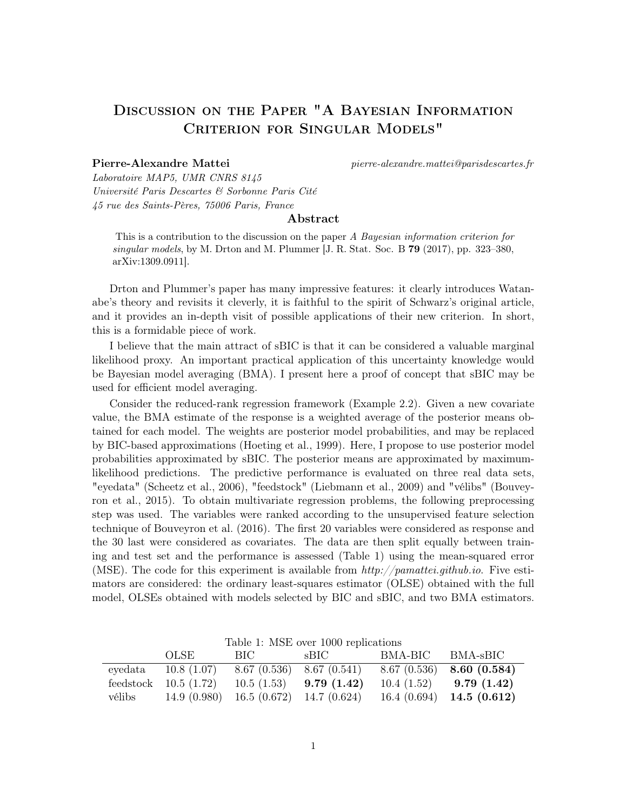## Discussion on the Paper "A Bayesian Information Criterion for Singular Models"

Pierre-Alexandre Mattei pierre-alexandre.mattei@parisdescartes.fr

Laboratoire MAP5, UMR CNRS 8145 Université Paris Descartes & Sorbonne Paris Cité 45 rue des Saints-Pères, 75006 Paris, France

## Abstract

This is a contribution to the discussion on the paper A Bayesian information criterion for singular models, by M. Drton and M. Plummer  $[J, R. \text{Stat. Soc. B } 79 (2017), pp. 323-380,$ arXiv:1309.0911].

Drton and Plummer's paper has many impressive features: it clearly introduces Watanabe's theory and revisits it cleverly, it is faithful to the spirit of Schwarz's original article, and it provides an in-depth visit of possible applications of their new criterion. In short, this is a formidable piece of work.

I believe that the main attract of sBIC is that it can be considered a valuable marginal likelihood proxy. An important practical application of this uncertainty knowledge would be Bayesian model averaging (BMA). I present here a proof of concept that sBIC may be used for efficient model averaging.

Consider the reduced-rank regression framework (Example 2.2). Given a new covariate value, the BMA estimate of the response is a weighted average of the posterior means obtained for each model. The weights are posterior model probabilities, and may be replaced by BIC-based approximations (Hoeting et al., 1999). Here, I propose to use posterior model probabilities approximated by sBIC. The posterior means are approximated by maximumlikelihood predictions. The predictive performance is evaluated on three real data sets, "eyedata" (Scheetz et al., 2006), "feedstock" (Liebmann et al., 2009) and "vélibs" (Bouveyron et al., 2015). To obtain multivariate regression problems, the following preprocessing step was used. The variables were ranked according to the unsupervised feature selection technique of Bouveyron et al. (2016). The first 20 variables were considered as response and the 30 last were considered as covariates. The data are then split equally between training and test set and the performance is assessed (Table 1) using the mean-squared error (MSE). The code for this experiment is available from  $http://pamattei.github.io$ . Five estimators are considered: the ordinary least-squares estimator (OLSE) obtained with the full model, OLSEs obtained with models selected by BIC and sBIC, and two BMA estimators.

|        | OLSE                   | BIC FOR                      | rable 1. MDE OVER 1000 replications<br>sBIC | BMA-BIC BMA-sBIC |                              |
|--------|------------------------|------------------------------|---------------------------------------------|------------------|------------------------------|
|        | eyedata $10.8(1.07)$   | $8.67(0.536)$ $8.67(0.541)$  |                                             |                  | $8.67(0.536)$ 8.60 $(0.584)$ |
|        | feedstock $10.5(1.72)$ | 10.5(1.53)                   | 9.79(1.42)                                  | 10.4(1.52)       | 9.79(1.42)                   |
| vélibs | 14.9(0.980)            | $16.5(0.672)$ 14.7 $(0.624)$ |                                             |                  | $16.4(0.694)$ 14.5 $(0.612)$ |

Table 1: MSE over 1000 replications